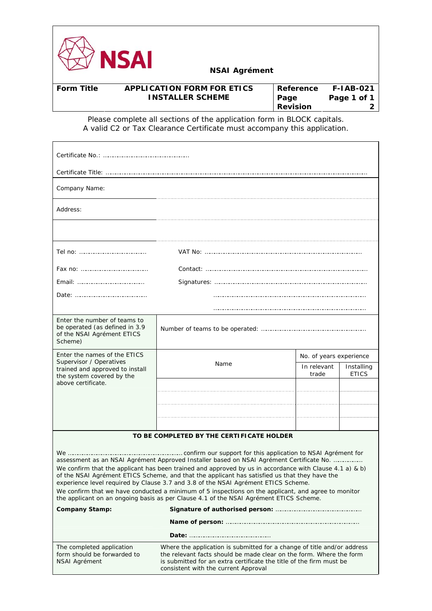

| <b>Form Title</b> | <b>APPLICATION FORM FOR ETICS</b> | l Reference     | <b>F-IAB-021</b> |
|-------------------|-----------------------------------|-----------------|------------------|
|                   | <b>INSTALLER SCHEME</b>           | Page            | Page 1 of 1      |
|                   |                                   | <b>Revision</b> |                  |

Please complete all sections of the application form in BLOCK capitals. A valid C2 or Tax Clearance Certificate must accompany this application.

| Company Name:                                                                                                                                                                                                                                                                                                                                                                                                                                                                                                                                                                               |                                           |                         |                            |  |  |  |
|---------------------------------------------------------------------------------------------------------------------------------------------------------------------------------------------------------------------------------------------------------------------------------------------------------------------------------------------------------------------------------------------------------------------------------------------------------------------------------------------------------------------------------------------------------------------------------------------|-------------------------------------------|-------------------------|----------------------------|--|--|--|
| Address:                                                                                                                                                                                                                                                                                                                                                                                                                                                                                                                                                                                    |                                           |                         |                            |  |  |  |
|                                                                                                                                                                                                                                                                                                                                                                                                                                                                                                                                                                                             |                                           |                         |                            |  |  |  |
|                                                                                                                                                                                                                                                                                                                                                                                                                                                                                                                                                                                             |                                           |                         |                            |  |  |  |
|                                                                                                                                                                                                                                                                                                                                                                                                                                                                                                                                                                                             |                                           |                         |                            |  |  |  |
|                                                                                                                                                                                                                                                                                                                                                                                                                                                                                                                                                                                             |                                           |                         |                            |  |  |  |
|                                                                                                                                                                                                                                                                                                                                                                                                                                                                                                                                                                                             |                                           |                         |                            |  |  |  |
|                                                                                                                                                                                                                                                                                                                                                                                                                                                                                                                                                                                             |                                           |                         |                            |  |  |  |
| Enter the number of teams to<br>be operated (as defined in 3.9<br>of the NSAI Agrément ETICS<br>Scheme)                                                                                                                                                                                                                                                                                                                                                                                                                                                                                     |                                           |                         |                            |  |  |  |
| Enter the names of the ETICS<br>Supervisor / Operatives                                                                                                                                                                                                                                                                                                                                                                                                                                                                                                                                     | Name                                      | No. of years experience |                            |  |  |  |
| trained and approved to install<br>the system covered by the                                                                                                                                                                                                                                                                                                                                                                                                                                                                                                                                |                                           | In relevant<br>trade    | Installing<br><b>ETICS</b> |  |  |  |
| above certificate.                                                                                                                                                                                                                                                                                                                                                                                                                                                                                                                                                                          |                                           |                         |                            |  |  |  |
|                                                                                                                                                                                                                                                                                                                                                                                                                                                                                                                                                                                             |                                           |                         |                            |  |  |  |
|                                                                                                                                                                                                                                                                                                                                                                                                                                                                                                                                                                                             |                                           |                         |                            |  |  |  |
|                                                                                                                                                                                                                                                                                                                                                                                                                                                                                                                                                                                             |                                           |                         |                            |  |  |  |
|                                                                                                                                                                                                                                                                                                                                                                                                                                                                                                                                                                                             | TO BE COMPLETED BY THE CERTIFICATE HOLDER |                         |                            |  |  |  |
| assessment as an NSAI Agrément Approved Installer based on NSAI Agrément Certificate No.<br>We confirm that the applicant has been trained and approved by us in accordance with Clause 4.1 a) & b)<br>of the NSAI Agrément ETICS Scheme, and that the applicant has satisfied us that they have the<br>experience level required by Clause 3.7 and 3.8 of the NSAI Agrément ETICS Scheme.<br>We confirm that we have conducted a minimum of 5 inspections on the applicant, and agree to monitor<br>the applicant on an ongoing basis as per Clause 4.1 of the NSAI Agrément ETICS Scheme. |                                           |                         |                            |  |  |  |
| <b>Company Stamp:</b>                                                                                                                                                                                                                                                                                                                                                                                                                                                                                                                                                                       |                                           |                         |                            |  |  |  |
|                                                                                                                                                                                                                                                                                                                                                                                                                                                                                                                                                                                             |                                           |                         |                            |  |  |  |
|                                                                                                                                                                                                                                                                                                                                                                                                                                                                                                                                                                                             |                                           |                         |                            |  |  |  |
| Where the application is submitted for a change of title and/or address<br>The completed application<br>form should be forwarded to<br>the relevant facts should be made clear on the form. Where the form<br>is submitted for an extra certificate the title of the firm must be<br>NSAI Agrément<br>consistent with the current Approval                                                                                                                                                                                                                                                  |                                           |                         |                            |  |  |  |